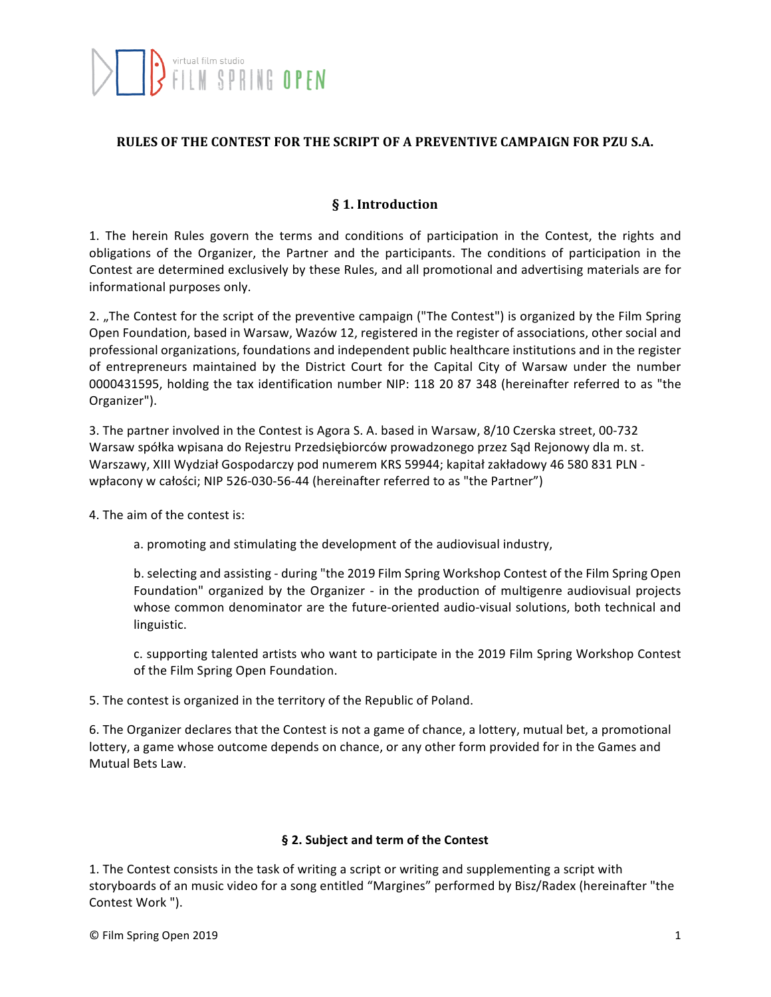## **RULES OF THE CONTEST FOR THE SCRIPT OF A PREVENTIVE CAMPAIGN FOR PZU S.A.**

## **§ 1. Introduction**

1. The herein Rules govern the terms and conditions of participation in the Contest, the rights and obligations of the Organizer, the Partner and the participants. The conditions of participation in the Contest are determined exclusively by these Rules, and all promotional and advertising materials are for informational purposes only.

2. "The Contest for the script of the preventive campaign ("The Contest") is organized by the Film Spring Open Foundation, based in Warsaw, Wazów 12, registered in the register of associations, other social and professional organizations, foundations and independent public healthcare institutions and in the register of entrepreneurs maintained by the District Court for the Capital City of Warsaw under the number 0000431595, holding the tax identification number NIP: 118 20 87 348 (hereinafter referred to as "the Organizer").

3. The partner involved in the Contest is Agora S. A. based in Warsaw, 8/10 Czerska street, 00-732 Warsaw spółka wpisana do Rejestru Przedsiębiorców prowadzonego przez Sąd Rejonowy dla m. st. Warszawy, XIII Wydział Gospodarczy pod numerem KRS 59944; kapitał zakładowy 46 580 831 PLN wpłacony w całości; NIP 526-030-56-44 (hereinafter referred to as "the Partner")

4. The aim of the contest is:

a. promoting and stimulating the development of the audiovisual industry,

b. selecting and assisting - during "the 2019 Film Spring Workshop Contest of the Film Spring Open Foundation" organized by the Organizer - in the production of multigenre audiovisual projects whose common denominator are the future-oriented audio-visual solutions, both technical and linguistic.

c. supporting talented artists who want to participate in the 2019 Film Spring Workshop Contest of the Film Spring Open Foundation.

5. The contest is organized in the territory of the Republic of Poland.

6. The Organizer declares that the Contest is not a game of chance, a lottery, mutual bet, a promotional lottery, a game whose outcome depends on chance, or any other form provided for in the Games and Mutual Bets Law.

#### § 2. Subject and term of the Contest

1. The Contest consists in the task of writing a script or writing and supplementing a script with storyboards of an music video for a song entitled "Margines" performed by Bisz/Radex (hereinafter "the Contest Work ").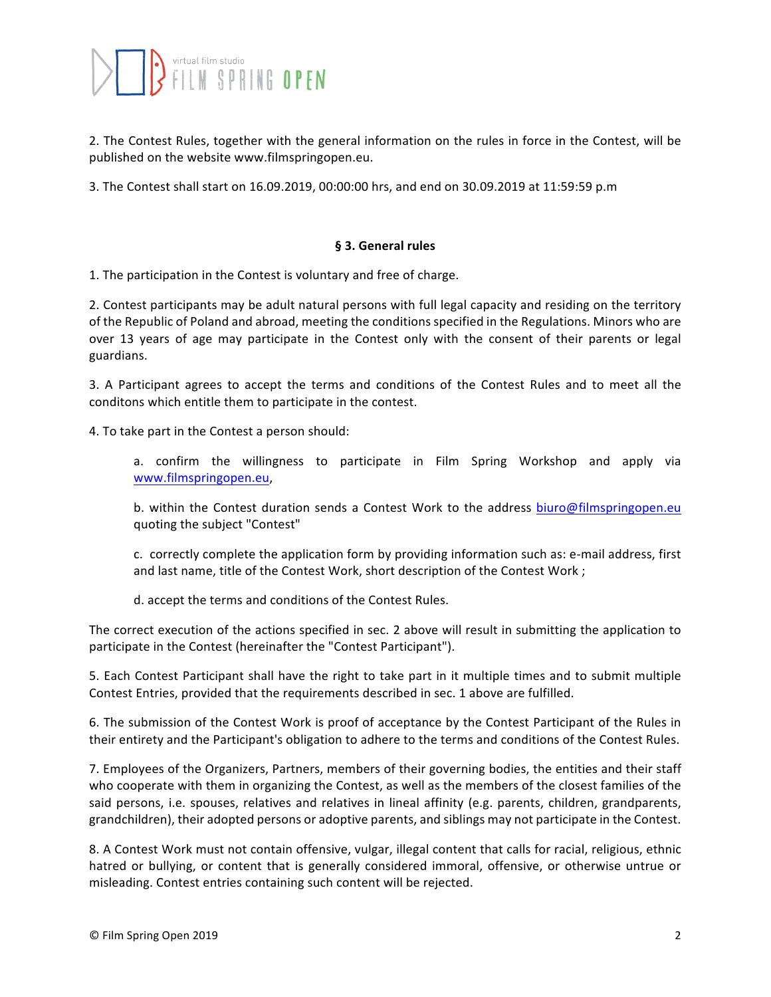2. The Contest Rules, together with the general information on the rules in force in the Contest, will be published on the website www.filmspringopen.eu.

3. The Contest shall start on 16.09.2019, 00:00:00 hrs, and end on 30.09.2019 at 11:59:59 p.m

#### **§ 3. General rules**

1. The participation in the Contest is voluntary and free of charge.

2. Contest participants may be adult natural persons with full legal capacity and residing on the territory of the Republic of Poland and abroad, meeting the conditions specified in the Regulations. Minors who are over 13 years of age may participate in the Contest only with the consent of their parents or legal guardians.

3. A Participant agrees to accept the terms and conditions of the Contest Rules and to meet all the conditons which entitle them to participate in the contest.

4. To take part in the Contest a person should:

a. confirm the willingness to participate in Film Spring Workshop and apply via www.filmspringopen.eu,

b. within the Contest duration sends a Contest Work to the address biuro@filmspringopen.eu quoting the subject "Contest"

c. correctly complete the application form by providing information such as: e-mail address, first and last name, title of the Contest Work, short description of the Contest Work ;

d. accept the terms and conditions of the Contest Rules.

The correct execution of the actions specified in sec. 2 above will result in submitting the application to participate in the Contest (hereinafter the "Contest Participant").

5. Each Contest Participant shall have the right to take part in it multiple times and to submit multiple Contest Entries, provided that the requirements described in sec. 1 above are fulfilled.

6. The submission of the Contest Work is proof of acceptance by the Contest Participant of the Rules in their entirety and the Participant's obligation to adhere to the terms and conditions of the Contest Rules.

7. Employees of the Organizers, Partners, members of their governing bodies, the entities and their staff who cooperate with them in organizing the Contest, as well as the members of the closest families of the said persons, i.e. spouses, relatives and relatives in lineal affinity (e.g. parents, children, grandparents, grandchildren), their adopted persons or adoptive parents, and siblings may not participate in the Contest.

8. A Contest Work must not contain offensive, vulgar, illegal content that calls for racial, religious, ethnic hatred or bullying, or content that is generally considered immoral, offensive, or otherwise untrue or misleading. Contest entries containing such content will be rejected.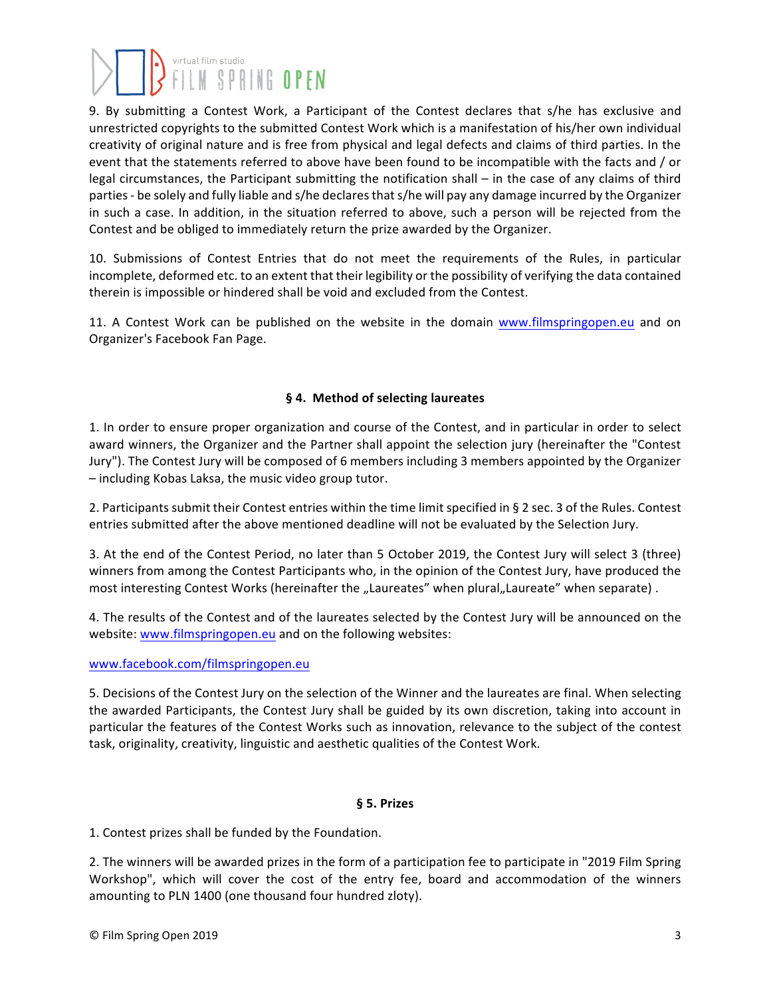# 

9. By submitting a Contest Work, a Participant of the Contest declares that s/he has exclusive and unrestricted copyrights to the submitted Contest Work which is a manifestation of his/her own individual creativity of original nature and is free from physical and legal defects and claims of third parties. In the event that the statements referred to above have been found to be incompatible with the facts and / or legal circumstances, the Participant submitting the notification shall – in the case of any claims of third parties - be solely and fully liable and s/he declares that s/he will pay any damage incurred by the Organizer in such a case. In addition, in the situation referred to above, such a person will be rejected from the Contest and be obliged to immediately return the prize awarded by the Organizer.

10. Submissions of Contest Entries that do not meet the requirements of the Rules, in particular incomplete, deformed etc. to an extent that their legibility or the possibility of verifying the data contained therein is impossible or hindered shall be void and excluded from the Contest.

11. A Contest Work can be published on the website in the domain www.filmspringopen.eu and on Organizer's Facebook Fan Page.

### **§ 4. Method of selecting laureates**

1. In order to ensure proper organization and course of the Contest, and in particular in order to select award winners, the Organizer and the Partner shall appoint the selection jury (hereinafter the "Contest Jury"). The Contest Jury will be composed of 6 members including 3 members appointed by the Organizer – including Kobas Laksa, the music video group tutor.

2. Participants submit their Contest entries within the time limit specified in § 2 sec. 3 of the Rules. Contest entries submitted after the above mentioned deadline will not be evaluated by the Selection Jury.

3. At the end of the Contest Period, no later than 5 October 2019, the Contest Jury will select 3 (three) winners from among the Contest Participants who, in the opinion of the Contest Jury, have produced the most interesting Contest Works (hereinafter the "Laureates" when plural"Laureate" when separate).

4. The results of the Contest and of the laureates selected by the Contest Jury will be announced on the website: www.filmspringopen.eu and on the following websites:

#### www.facebook.com/filmspringopen.eu

5. Decisions of the Contest Jury on the selection of the Winner and the laureates are final. When selecting the awarded Participants, the Contest Jury shall be guided by its own discretion, taking into account in particular the features of the Contest Works such as innovation, relevance to the subject of the contest task, originality, creativity, linguistic and aesthetic qualities of the Contest Work.

#### **§ 5. Prizes**

1. Contest prizes shall be funded by the Foundation.

2. The winners will be awarded prizes in the form of a participation fee to participate in "2019 Film Spring Workshop", which will cover the cost of the entry fee, board and accommodation of the winners amounting to PLN 1400 (one thousand four hundred zloty).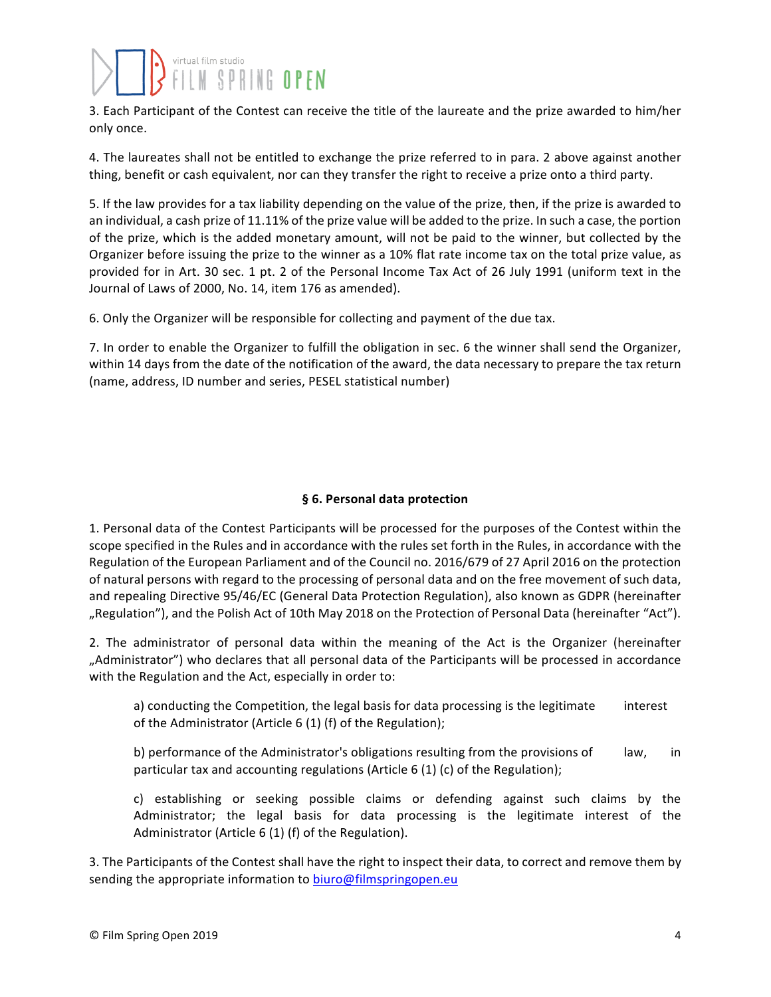3. Each Participant of the Contest can receive the title of the laureate and the prize awarded to him/her only once.

4. The laureates shall not be entitled to exchange the prize referred to in para. 2 above against another thing, benefit or cash equivalent, nor can they transfer the right to receive a prize onto a third party.

5. If the law provides for a tax liability depending on the value of the prize, then, if the prize is awarded to an individual, a cash prize of 11.11% of the prize value will be added to the prize. In such a case, the portion of the prize, which is the added monetary amount, will not be paid to the winner, but collected by the Organizer before issuing the prize to the winner as a 10% flat rate income tax on the total prize value, as provided for in Art. 30 sec. 1 pt. 2 of the Personal Income Tax Act of 26 July 1991 (uniform text in the Journal of Laws of 2000, No. 14, item 176 as amended).

6. Only the Organizer will be responsible for collecting and payment of the due tax.

7. In order to enable the Organizer to fulfill the obligation in sec. 6 the winner shall send the Organizer, within 14 days from the date of the notification of the award, the data necessary to prepare the tax return (name, address, ID number and series, PESEL statistical number)

## **§ 6. Personal data protection**

1. Personal data of the Contest Participants will be processed for the purposes of the Contest within the scope specified in the Rules and in accordance with the rules set forth in the Rules, in accordance with the Regulation of the European Parliament and of the Council no. 2016/679 of 27 April 2016 on the protection of natural persons with regard to the processing of personal data and on the free movement of such data, and repealing Directive 95/46/EC (General Data Protection Regulation), also known as GDPR (hereinafter "Regulation"), and the Polish Act of 10th May 2018 on the Protection of Personal Data (hereinafter "Act").

2. The administrator of personal data within the meaning of the Act is the Organizer (hereinafter "Administrator") who declares that all personal data of the Participants will be processed in accordance with the Regulation and the Act, especially in order to:

a) conducting the Competition, the legal basis for data processing is the legitimate interest of the Administrator (Article  $6(1)$  (f) of the Regulation);

b) performance of the Administrator's obligations resulting from the provisions of law, in particular tax and accounting regulations (Article 6 (1) (c) of the Regulation);

c) establishing or seeking possible claims or defending against such claims by the Administrator; the legal basis for data processing is the legitimate interest of the Administrator (Article  $6(1)$  (f) of the Regulation).

3. The Participants of the Contest shall have the right to inspect their data, to correct and remove them by sending the appropriate information to biuro@filmspringopen.eu